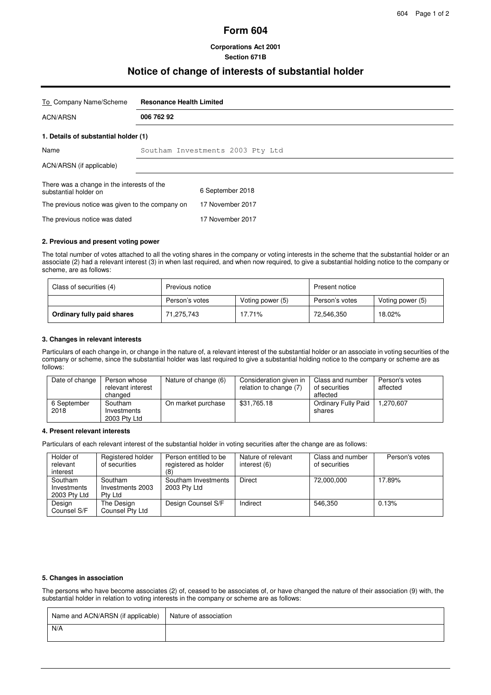# **Form 604**

## **Corporations Act 2001 Section 671B**

# **Notice of change of interests of substantial holder**

| To Company Name/Scheme                                              | <b>Resonance Health Limited</b>  |                  |  |
|---------------------------------------------------------------------|----------------------------------|------------------|--|
| <b>ACN/ARSN</b>                                                     | 006 762 92                       |                  |  |
| 1. Details of substantial holder (1)                                |                                  |                  |  |
| Name                                                                | Southam Investments 2003 Pty Ltd |                  |  |
| ACN/ARSN (if applicable)                                            |                                  |                  |  |
| There was a change in the interests of the<br>substantial holder on |                                  | 6 September 2018 |  |
| The previous notice was given to the company on                     |                                  | 17 November 2017 |  |
| The previous notice was dated                                       |                                  | 17 November 2017 |  |

#### **2. Previous and present voting power**

The total number of votes attached to all the voting shares in the company or voting interests in the scheme that the substantial holder or an associate (2) had a relevant interest (3) in when last required, and when now required, to give a substantial holding notice to the company or scheme, are as follows:

| Class of securities (4)    | Previous notice |                  | Present notice |                  |
|----------------------------|-----------------|------------------|----------------|------------------|
|                            | Person's votes  | Voting power (5) | Person's votes | Voting power (5) |
| Ordinary fully paid shares | 71,275,743      | 17.71%           | 72,546,350     | 18.02%           |

## **3. Changes in relevant interests**

Particulars of each change in, or change in the nature of, a relevant interest of the substantial holder or an associate in voting securities of the company or scheme, since the substantial holder was last required to give a substantial holding notice to the company or scheme are as follows:

| Date of change      | Person whose<br>relevant interest<br>changed | Nature of change (6) | Consideration given in<br>relation to change (7) | Class and number<br>of securities<br>affected | Person's votes<br>affected |
|---------------------|----------------------------------------------|----------------------|--------------------------------------------------|-----------------------------------------------|----------------------------|
| 6 September<br>2018 | Southam<br>Investments<br>2003 Pty Ltd       | On market purchase   | \$31.765.18                                      | Ordinary Fully Paid<br>shares                 | 1.270.607                  |

#### **4. Present relevant interests**

Particulars of each relevant interest of the substantial holder in voting securities after the change are as follows:

| Holder of<br>relevant<br>interest      | Registered holder<br>of securities     | Person entitled to be<br>registered as holder<br>(8 | Nature of relevant<br>interest (6) | Class and number<br>of securities | Person's votes |
|----------------------------------------|----------------------------------------|-----------------------------------------------------|------------------------------------|-----------------------------------|----------------|
| Southam<br>Investments<br>2003 Pty Ltd | Southam<br>Investments 2003<br>Ptv Ltd | Southam Investments<br>2003 Pty Ltd                 | Direct                             | 72.000.000                        | 17.89%         |
| Design<br>Counsel S/F                  | The Design<br>Counsel Pty Ltd          | Design Counsel S/F                                  | Indirect                           | 546.350                           | 0.13%          |

#### **5. Changes in association**

The persons who have become associates (2) of, ceased to be associates of, or have changed the nature of their association (9) with, the substantial holder in relation to voting interests in the company or scheme are as follows:

| Name and ACN/ARSN (if applicable) | Nature of association |
|-----------------------------------|-----------------------|
| N/A                               |                       |